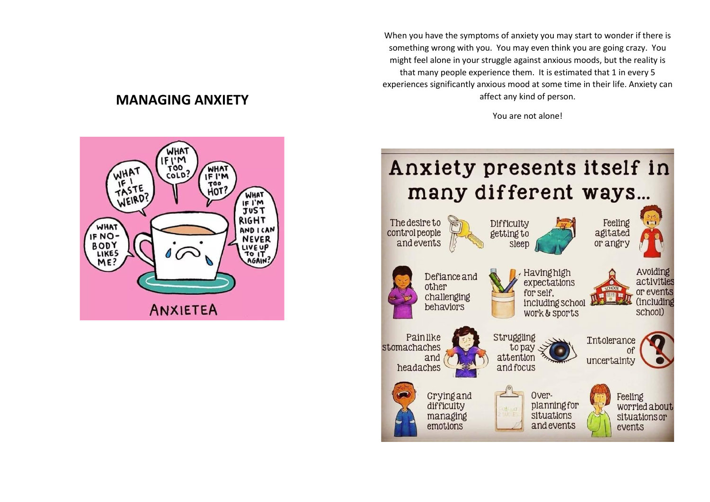**MANAGING ANXIETY**



When you have the symptoms of anxiety you may start to wonder if there is something wrong with you. You may even think you are going crazy. You might feel alone in your struggle against anxious moods, but the reality is that many people experience them. It is estimated that 1 in every 5 experiences significantly anxious mood at some time in their life. Anxiety can affect any kind of person.

You are not alone!

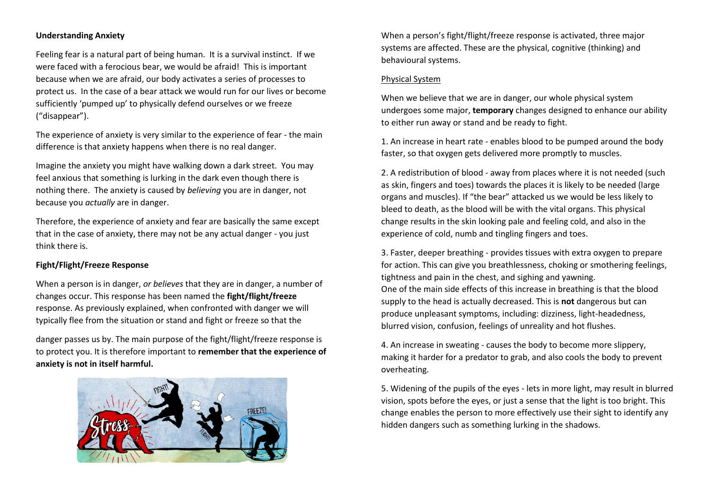#### **Understanding Anxiety**

Feeling fear is a natural part of being human. It is a survival instinct. If we were faced with a ferocious bear, we would be afraid! This is important because when we are afraid, our body activates a series of processes to protect us. In the case of a bear attack we would run for our lives or become sufficiently 'pumped up' to physically defend ourselves or we freeze ("disappear").

The experience of anxiety is very similar to the experience of fear - the main difference is that anxiety happens when there is no real danger.

Imagine the anxiety you might have walking down a dark street. You may feel anxious that something is lurking in the dark even though there is nothing there. The anxiety is caused by *believing* you are in danger, not because you *actually* are in danger.

Therefore, the experience of anxiety and fear are basically the same except that in the case of anxiety, there may not be any actual danger - you just think there is.

#### **Fight/Flight/Freeze Response**

When a person is in danger, *or believes* that they are in danger, a number of changes occur. This response has been named the **fight/flight/freeze** response. As previously explained, when confronted with danger we will typically flee from the situation or stand and fight or freeze so that the

danger passes us by. The main purpose of the fight/flight/freeze response is to protect you. It is therefore important to **remember that the experience of anxiety is not in itself harmful.** 



When a person's fight/flight/freeze response is activated, three major systems are affected. These are the physical, cognitive (thinking) and behavioural systems.

#### Physical System

When we believe that we are in danger, our whole physical system undergoes some major, **temporary** changes designed to enhance our ability to either run away or stand and be ready to fight.

1. An increase in heart rate - enables blood to be pumped around the body faster, so that oxygen gets delivered more promptly to muscles.

2. A redistribution of blood - away from places where it is not needed (such as skin, fingers and toes) towards the places it is likely to be needed (large organs and muscles). If "the bear" attacked us we would be less likely to bleed to death, as the blood will be with the vital organs. This physical change results in the skin looking pale and feeling cold, and also in the experience of cold, numb and tingling fingers and toes.

3. Faster, deeper breathing - provides tissues with extra oxygen to prepare for action. This can give you breathlessness, choking or smothering feelings, tightness and pain in the chest, and sighing and yawning. One of the main side effects of this increase in breathing is that the blood supply to the head is actually decreased. This is **not** dangerous but can produce unpleasant symptoms, including: dizziness, light-headedness, blurred vision, confusion, feelings of unreality and hot flushes.

4. An increase in sweating - causes the body to become more slippery, making it harder for a predator to grab, and also cools the body to prevent overheating.

5. Widening of the pupils of the eyes - lets in more light, may result in blurred vision, spots before the eyes, or just a sense that the light is too bright. This change enables the person to more effectively use their sight to identify any hidden dangers such as something lurking in the shadows.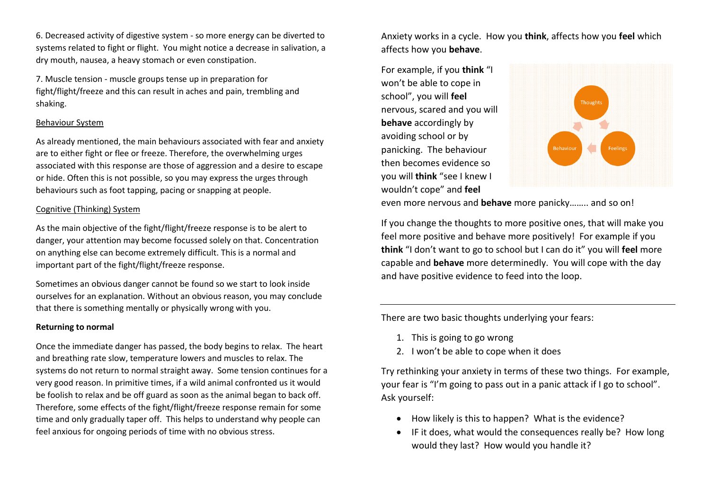6. Decreased activity of digestive system - so more energy can be diverted to systems related to fight or flight. You might notice a decrease in salivation, a dry mouth, nausea, a heavy stomach or even constipation.

7. Muscle tension - muscle groups tense up in preparation for fight/flight/freeze and this can result in aches and pain, trembling and shaking.

#### Behaviour System

As already mentioned, the main behaviours associated with fear and anxiety are to either fight or flee or freeze. Therefore, the overwhelming urges associated with this response are those of aggression and a desire to escape or hide. Often this is not possible, so you may express the urges through behaviours such as foot tapping, pacing or snapping at people.

#### Cognitive (Thinking) System

As the main objective of the fight/flight/freeze response is to be alert to danger, your attention may become focussed solely on that. Concentration on anything else can become extremely difficult. This is a normal and important part of the fight/flight/freeze response.

Sometimes an obvious danger cannot be found so we start to look inside ourselves for an explanation. Without an obvious reason, you may conclude that there is something mentally or physically wrong with you.

#### **Returning to normal**

Once the immediate danger has passed, the body begins to relax. The heart and breathing rate slow, temperature lowers and muscles to relax. The systems do not return to normal straight away. Some tension continues for a very good reason. In primitive times, if a wild animal confronted us it would be foolish to relax and be off guard as soon as the animal began to back off. Therefore, some effects of the fight/flight/freeze response remain for some time and only gradually taper off. This helps to understand why people can feel anxious for ongoing periods of time with no obvious stress.

Anxiety works in a cycle. How you **think**, affects how you **feel** which affects how you **behave**.

For example, if you **think** "I won't be able to cope in school", you will **feel** nervous, scared and you will **behave** accordingly by avoiding school or by panicking. The behaviour then becomes evidence so you will **think** "see I knew I wouldn't cope" and **feel**



even more nervous and **behave** more panicky…….. and so on!

If you change the thoughts to more positive ones, that will make you feel more positive and behave more positively! For example if you **think** "I don't want to go to school but I can do it" you will **feel** more capable and **behave** more determinedly. You will cope with the day and have positive evidence to feed into the loop.

There are two basic thoughts underlying your fears:

- 1. This is going to go wrong
- 2. I won't be able to cope when it does

Try rethinking your anxiety in terms of these two things. For example, your fear is "I'm going to pass out in a panic attack if I go to school". Ask yourself:

- How likely is this to happen? What is the evidence?
- IF it does, what would the consequences really be? How long would they last? How would you handle it?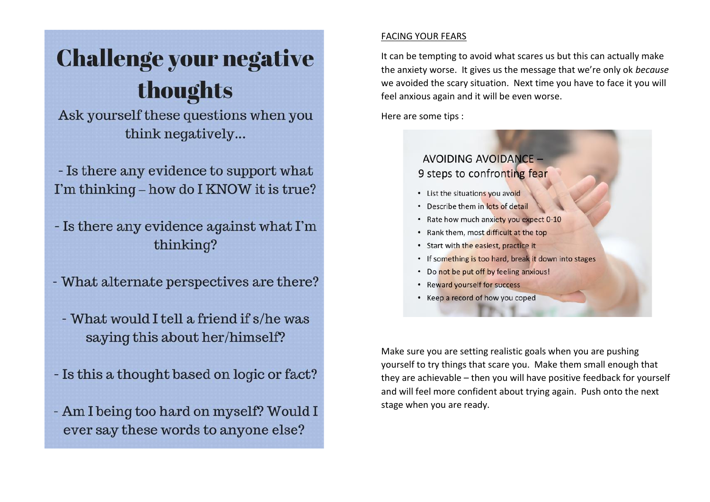# **Challenge your negative** thoughts

Ask yourself these questions when you think negatively...

- Is there any evidence to support what I'm thinking – how do I KNOW it is true?

- Is there any evidence against what I'm thinking?

- What alternate perspectives are there?

- What would I tell a friend if s/he was saying this about her/himself?

- Is this a thought based on logic or fact?

- Am I being too hard on myself? Would I ever say these words to anyone else?

### **FACING YOUR FEARS**

It can be tempting to avoid what scares us but this can actually make the anxiety worse. It gives us the message that we're only ok because we avoided the scary situation. Next time you have to face it you will feel anxious again and it will be even worse.

Here are some tips :

## AVOIDING AVOIDANCE -9 steps to confronting fear

- List the situations you avoid
- Describe them in lots of detail
- Rate how much anxiety you expect 0-10
- . Rank them, most difficult at the top
- Start with the easiest, practice it
- If something is too hard, break it down into stages
- Do not be put off by feeling anxious!
- Reward yourself for success
- Keep a record of how you coped

Make sure you are setting realistic goals when you are pushing yourself to try things that scare you. Make them small enough that they are achievable – then you will have positive feedback for yourself and will feel more confident about trying again. Push onto the next stage when you are ready.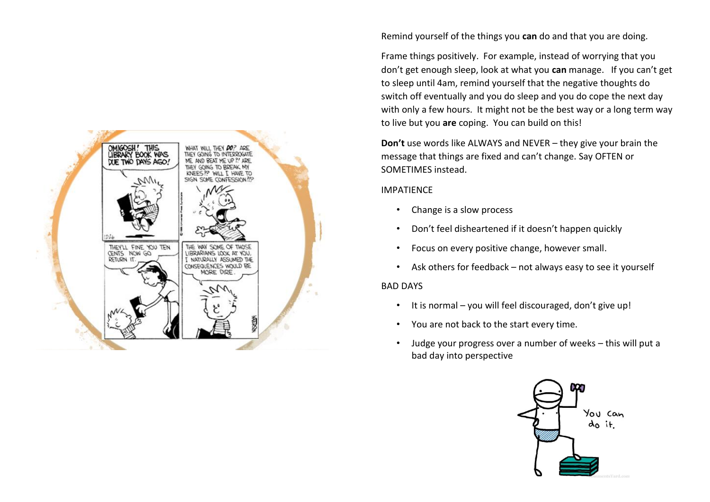

Remind yourself of the things you **can** do and that you are doing.

Frame things positively. For example, instead of worrying that you don't get enough sleep, look at what you **can** manage. If you can't get to sleep until 4am, remind yourself that the negative thoughts do switch off eventually and you do sleep and you do cope the next day with only a few hours. It might not be the best way or a long term way to live but you **are** coping. You can build on this!

**Don't** use words like ALWAYS and NEVER – they give your brain the message that things are fixed and can't change. Say OFTEN or SOMETIMES instead.

#### IMPATIENCE

- Change is a slow process
- Don't feel disheartened if it doesn't happen quickly
- Focus on every positive change, however small.
- Ask others for feedback not always easy to see it yourself

#### BAD DAYS

- It is normal you will feel discouraged, don't give up!
- You are not back to the start every time.
- Judge your progress over a number of weeks this will put a bad day into perspective

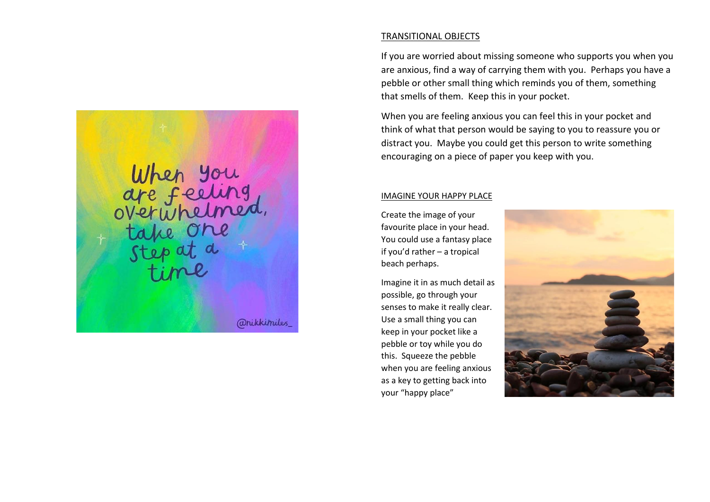When you<br>are feeling<br>overwhelmed,<br>take one<br>step at a *<i><u>anikkimiles</u>* 

TRANSITIONAL OBJECTS

If you are worried about missing someone who supports you when you are anxious, find a way of carrying them with you. Perhaps you have a pebble or other small thing which reminds you of them, something that smells of them. Keep this in your pocket.

When you are feeling anxious you can feel this in your pocket and think of what that person would be saying to you to reassure you or distract you. Maybe you could get this person to write something encouraging on a piece of paper you keep with you.

#### IMAGINE YOUR HAPPY PLACE

Create the image of your favourite place in your head. You could use a fantasy place if you'd rather – a tropical beach perhaps.

Imagine it in as much detail as possible, go through your senses to make it really clear. Use a small thing you can keep in your pocket like a pebble or toy while you do this. Squeeze the pebble when you are feeling anxious as a key to getting back into your "happy place"

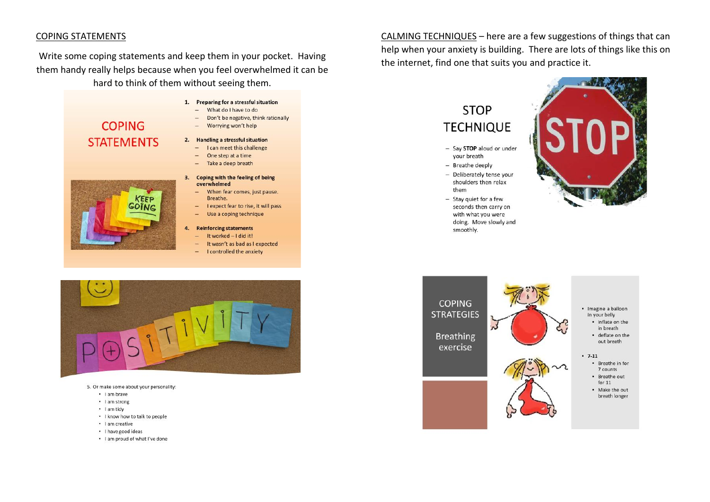#### **COPING STATEMENTS**

Write some coping statements and keep them in your pocket. Having them handy really helps because when you feel overwhelmed it can be hard to think of them without seeing them.



Keff

OINC

- 1. Preparing for a stressful situation
	- What do I have to do  $\sim$
	- Don't be negative, think rationally ÷.
	- Worrying won't help  $\overline{a}$

#### 2. Handling a stressful situation

- I can meet this challenge
- One step at a time  $\overline{\phantom{a}}$
- Take a deep breath
- 3. Coping with the feeling of being overwhelmed
	- When fear comes, just pause.  $-$ Breathe.
	- I expect fear to rise, it will pass
	- Use a coping technique
- **Reinforcing statements**
- It worked I did it!
- It wasn't as bad as I expected ÷.
- ÷ I controlled the anxiety



 $\bullet$ 

- 5. Or make some about your personality:
	- · I am brave
	- I am strong
	- · I am tidy
	- . I know how to talk to people
	- · I am creative
	- I have good ideas
	- . I am proud of what I've done

CALMING TECHNIQUES - here are a few suggestions of things that can help when your anxiety is building. There are lots of things like this on the internet, find one that suits you and practice it.

## **STOP TECHNIQUE**

- Say STOP aloud or under your breath
- Breathe deeply
- Deliberately tense your shoulders then relax them
- Stay quiet for a few seconds then carry on with what you were doing. Move slowly and smoothly.